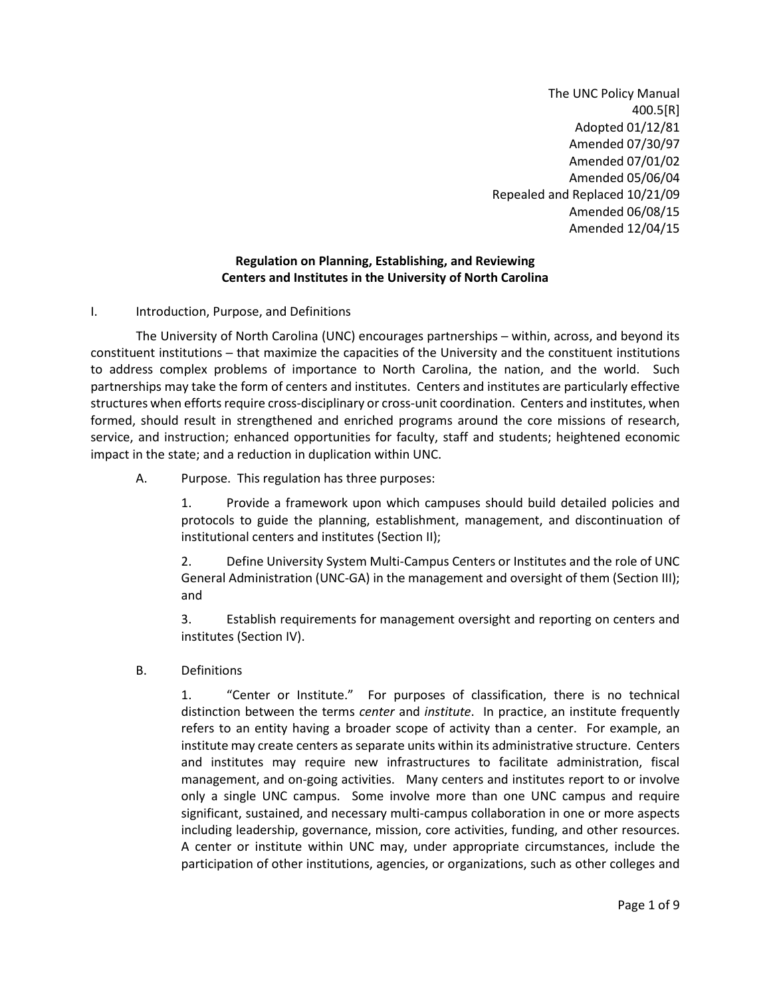The UNC Policy Manual 400.5[R] Adopted 01/12/81 Amended 07/30/97 Amended 07/01/02 Amended 05/06/04 Repealed and Replaced 10/21/09 Amended 06/08/15 Amended 12/04/15

# **Regulation on Planning, Establishing, and Reviewing Centers and Institutes in the University of North Carolina**

# I. Introduction, Purpose, and Definitions

The University of North Carolina (UNC) encourages partnerships — within, across, and beyond its constituent institutions - that maximize the capacities of the University and the constituent institutions to address complex problems of importance to North Carolina, the nation, and the world. Such partnerships may take the form of centers and institutes. Centers and institutes are particularly effective structures when efforts require cross-disciplinary or cross-unit coordination. Centers and institutes, when formed, should result in strengthened and enriched programs around the core missions of research, service, and instruction; enhanced opportunities for faculty, staff and students; heightened economic impact in the state; and a reduction in duplication within UNC.

A. Purpose. This regulation has three purposes:

1. Provide a framework upon which campuses should build detailed policies and protocols to guide the planning, establishment, management, and discontinuation of institutional centers and institutes (Section II);

2. Define University System Multi-Campus Centers or Institutes and the role of UNC General Administration (UNC-GA) in the management and oversight of them (Section III); and

3. Establish requirements for management oversight and reporting on centers and institutes (Section IV).

B. Definitions

1. "Center or Institute." For purposes of classification, there is no technical distinction between the terms *center* and *institute*. In practice, an institute frequently refers to an entity having a broader scope of activity than a center. For example, an institute may create centers as separate units within its administrative structure. Centers and institutes may require new infrastructures to facilitate administration, fiscal management, and on-going activities. Many centers and institutes report to or involve only a single UNC campus. Some involve more than one UNC campus and require significant, sustained, and necessary multi-campus collaboration in one or more aspects including leadership, governance, mission, core activities, funding, and other resources. A center or institute within UNC may, under appropriate circumstances, include the participation of other institutions, agencies, or organizations, such as other colleges and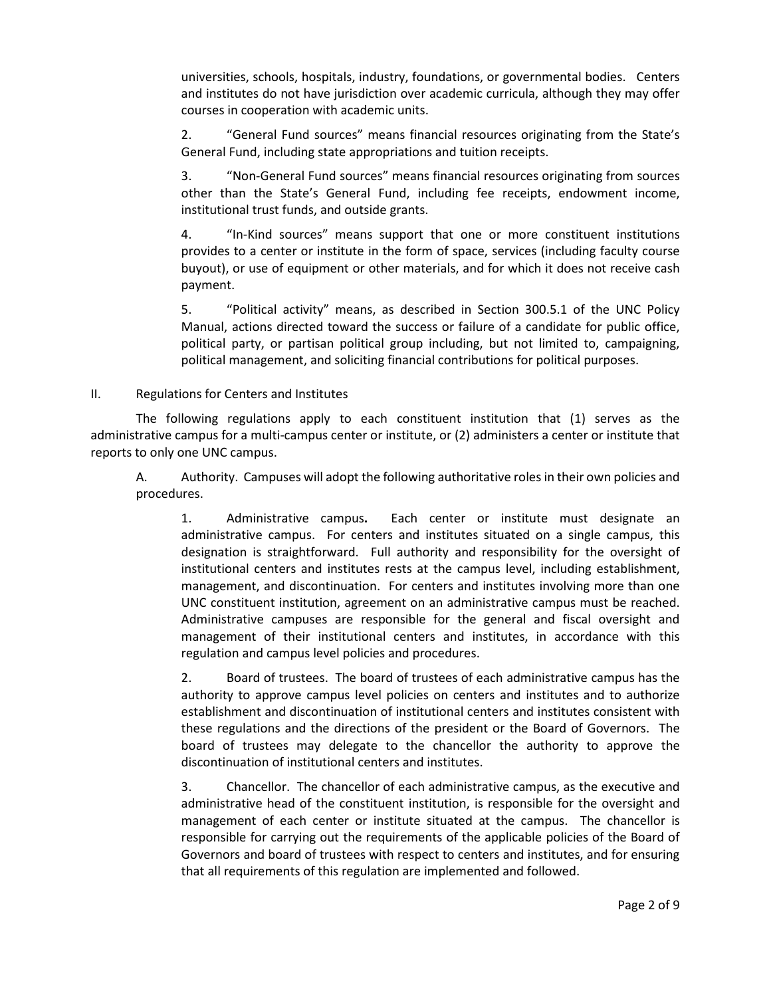universities, schools, hospitals, industry, foundations, or governmental bodies. Centers and institutes do not have jurisdiction over academic curricula, although they may offer courses in cooperation with academic units.

2. "General Fund sources" means financial resources originating from the State's General Fund, including state appropriations and tuition receipts.

3. "Non-General Fund sources" means financial resources originating from sources other than the State's General Fund, including fee receipts, endowment income, institutional trust funds, and outside grants.

4. "In-Kind sources" means support that one or more constituent institutions provides to a center or institute in the form of space, services (including faculty course buyout), or use of equipment or other materials, and for which it does not receive cash payment.

5. "Political activity" means, as described in Section 300.5.1 of the UNC Policy Manual, actions directed toward the success or failure of a candidate for public office, political party, or partisan political group including, but not limited to, campaigning, political management, and soliciting financial contributions for political purposes.

# II. Regulations for Centers and Institutes

The following regulations apply to each constituent institution that (1) serves as the administrative campus for a multi-campus center or institute, or (2) administers a center or institute that reports to only one UNC campus.

A. Authority.Campuses will adopt the following authoritative roles in their own policies and procedures.

1. Administrative campus**.** Each center or institute must designate an administrative campus. For centers and institutes situated on a single campus, this designation is straightforward. Full authority and responsibility for the oversight of institutional centers and institutes rests at the campus level, including establishment, management, and discontinuation.For centers and institutes involving more than one UNC constituent institution, agreement on an administrative campus must be reached. Administrative campuses are responsible for the general and fiscal oversight and management of their institutional centers and institutes, in accordance with this regulation and campus level policies and procedures.

2. Board of trustees. The board of trustees of each administrative campus has the authority to approve campus level policies on centers and institutes and to authorize establishment and discontinuation of institutional centers and institutes consistent with these regulations and the directions of the president or the Board of Governors. The board of trustees may delegate to the chancellor the authority to approve the discontinuation of institutional centers and institutes.

3. Chancellor. The chancellor of each administrative campus, as the executive and administrative head of the constituent institution, is responsible for the oversight and management of each center or institute situated at the campus. The chancellor is responsible for carrying out the requirements of the applicable policies of the Board of Governors and board of trustees with respect to centers and institutes, and for ensuring that all requirements of this regulation are implemented and followed.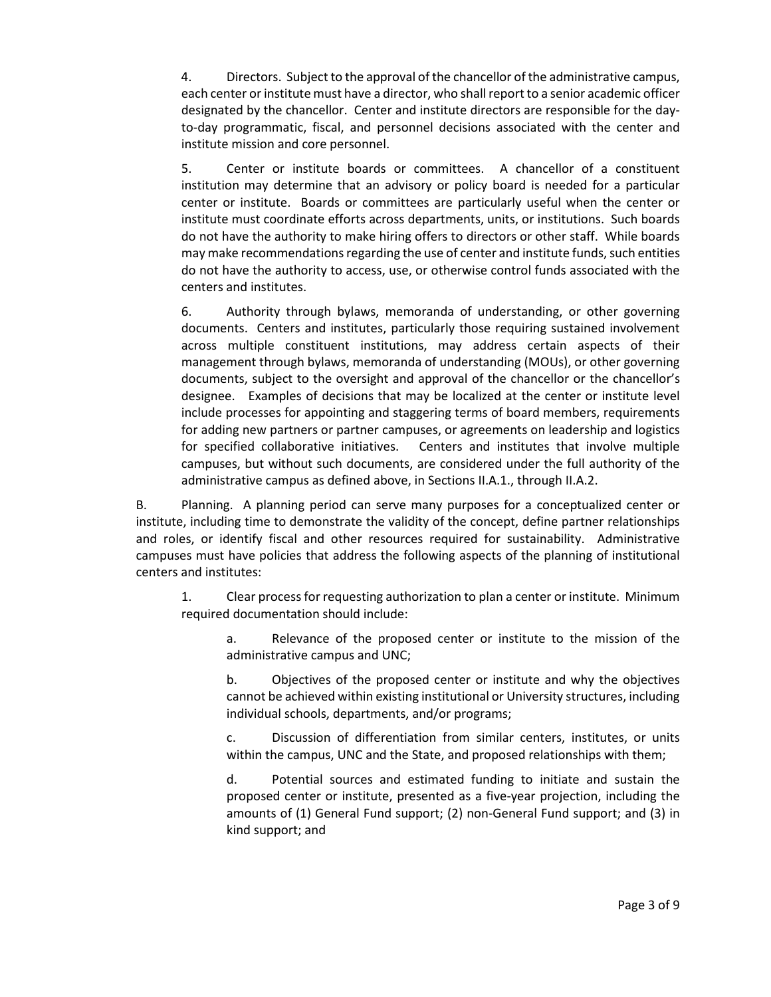4. Directors. Subject to the approval of the chancellor of the administrative campus, each center or institute must have a director, who shall report to a senior academic officer designated by the chancellor. Center and institute directors are responsible for the dayto-day programmatic, fiscal, and personnel decisions associated with the center and institute mission and core personnel.

5. Center or institute boards or committees. A chancellor of a constituent institution may determine that an advisory or policy board is needed for a particular center or institute. Boards or committees are particularly useful when the center or institute must coordinate efforts across departments, units, or institutions. Such boards do not have the authority to make hiring offers to directors or other staff. While boards may make recommendations regarding the use of center and institute funds, such entities do not have the authority to access, use, or otherwise control funds associated with the centers and institutes.

6. Authority through bylaws, memoranda of understanding, or other governing documents. Centers and institutes, particularly those requiring sustained involvement across multiple constituent institutions, may address certain aspects of their management through bylaws, memoranda of understanding (MOUs), or other governing documents, subject to the oversight and approval of the chancellor or the chancellor's designee. Examples of decisions that may be localized at the center or institute level include processes for appointing and staggering terms of board members, requirements for adding new partners or partner campuses, or agreements on leadership and logistics for specified collaborative initiatives. Centers and institutes that involve multiple campuses, but without such documents, are considered under the full authority of the administrative campus as defined above, in Sections II.A.1., through II.A.2.

B. Planning. A planning period can serve many purposes for a conceptualized center or institute, including time to demonstrate the validity of the concept, define partner relationships and roles, or identify fiscal and other resources required for sustainability. Administrative campuses must have policies that address the following aspects of the planning of institutional centers and institutes:

1. Clear process for requesting authorization to plan a center or institute. Minimum required documentation should include:

a. Relevance of the proposed center or institute to the mission of the administrative campus and UNC;

b. Objectives of the proposed center or institute and why the objectives cannot be achieved within existing institutional or University structures, including individual schools, departments, and/or programs;

c. Discussion of differentiation from similar centers, institutes, or units within the campus, UNC and the State, and proposed relationships with them;

d. Potential sources and estimated funding to initiate and sustain the proposed center or institute, presented as a five-year projection, including the amounts of (1) General Fund support; (2) non-General Fund support; and (3) in kind support; and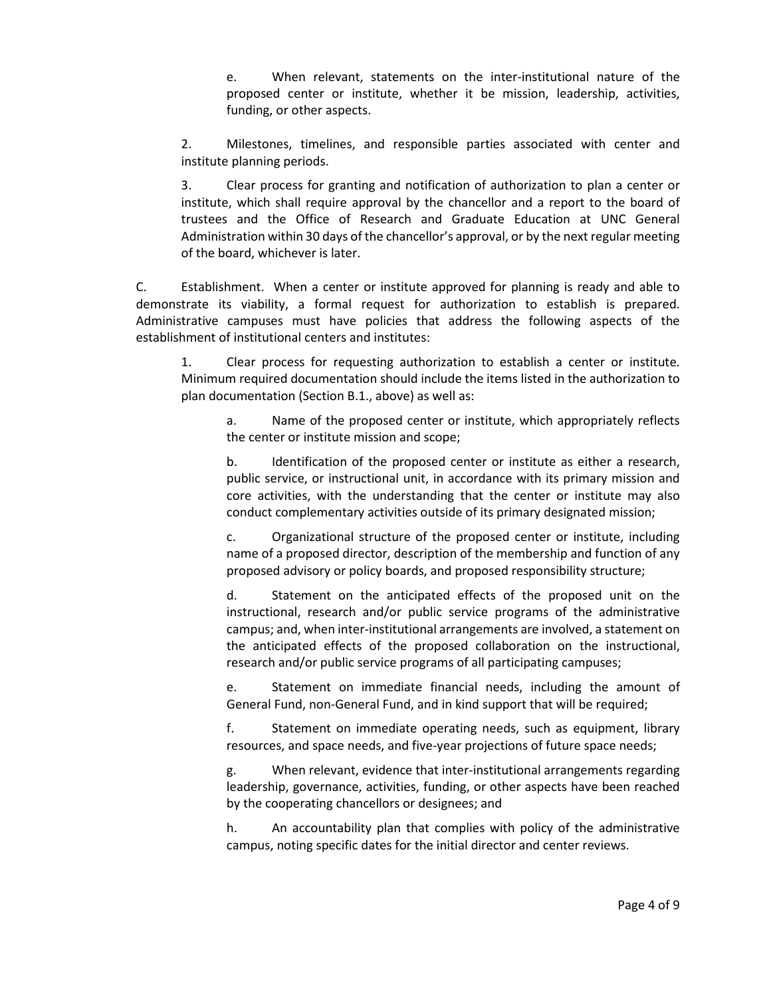e. When relevant, statements on the inter-institutional nature of the proposed center or institute, whether it be mission, leadership, activities, funding, or other aspects.

2. Milestones, timelines, and responsible parties associated with center and institute planning periods.

3. Clear process for granting and notification of authorization to plan a center or institute, which shall require approval by the chancellor and a report to the board of trustees and the Office of Research and Graduate Education at UNC General Administration within 30 days of the chancellor's approval, or by the next regular meeting of the board, whichever is later.

C. Establishment.When a center or institute approved for planning is ready and able to demonstrate its viability, a formal request for authorization to establish is prepared. Administrative campuses must have policies that address the following aspects of the establishment of institutional centers and institutes:

1. Clear process for requesting authorization to establish a center or institute. Minimum required documentation should include the items listed in the authorization to plan documentation (Section B.1., above) as well as:

a. Name of the proposed center or institute, which appropriately reflects the center or institute mission and scope;

b. Identification of the proposed center or institute as either a research, public service, or instructional unit, in accordance with its primary mission and core activities, with the understanding that the center or institute may also conduct complementary activities outside of its primary designated mission;

c. Organizational structure of the proposed center or institute, including name of a proposed director, description of the membership and function of any proposed advisory or policy boards, and proposed responsibility structure;

d. Statement on the anticipated effects of the proposed unit on the instructional, research and/or public service programs of the administrative campus; and, when inter-institutional arrangements are involved, a statement on the anticipated effects of the proposed collaboration on the instructional, research and/or public service programs of all participating campuses;

e. Statement on immediate financial needs, including the amount of General Fund, non-General Fund, and in kind support that will be required;

f. Statement on immediate operating needs, such as equipment, library resources, and space needs, and five-year projections of future space needs;

g. When relevant, evidence that inter-institutional arrangements regarding leadership, governance, activities, funding, or other aspects have been reached by the cooperating chancellors or designees; and

h. An accountability plan that complies with policy of the administrative campus, noting specific dates for the initial director and center reviews.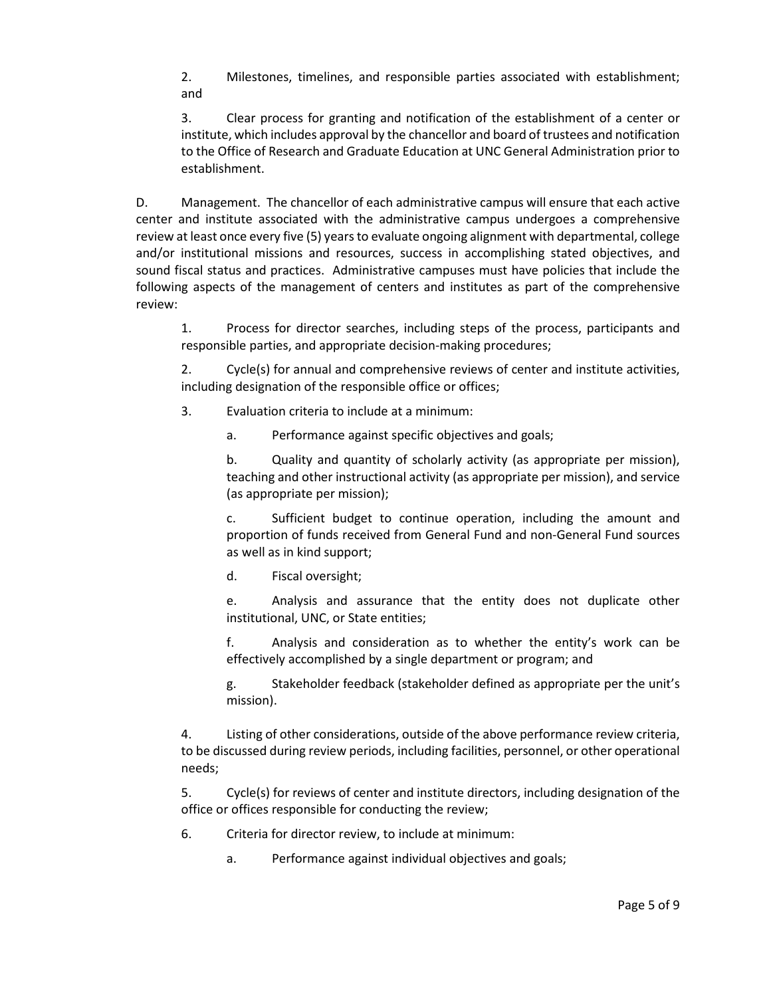2. Milestones, timelines, and responsible parties associated with establishment; and

3. Clear process for granting and notification of the establishment of a center or institute, which includes approval by the chancellor and board of trustees and notification to the Office of Research and Graduate Education at UNC General Administration prior to establishment.

D. Management. The chancellor of each administrative campus will ensure that each active center and institute associated with the administrative campus undergoes a comprehensive review at least once every five (5) years to evaluate ongoing alignment with departmental, college and/or institutional missions and resources, success in accomplishing stated objectives, and sound fiscal status and practices. Administrative campuses must have policies that include the following aspects of the management of centers and institutes as part of the comprehensive review:

1. Process for director searches, including steps of the process, participants and responsible parties, and appropriate decision-making procedures;

2. Cycle(s) for annual and comprehensive reviews of center and institute activities, including designation of the responsible office or offices;

3. Evaluation criteria to include at a minimum:

a. Performance against specific objectives and goals;

b. Quality and quantity of scholarly activity (as appropriate per mission), teaching and other instructional activity (as appropriate per mission), and service (as appropriate per mission);

c. Sufficient budget to continue operation, including the amount and proportion of funds received from General Fund and non-General Fund sources as well as in kind support;

d. Fiscal oversight;

e. Analysis and assurance that the entity does not duplicate other institutional, UNC, or State entities;

f. Analysis and consideration as to whether the entity's work can be effectively accomplished by a single department or program; and

g. Stakeholder feedback (stakeholder defined as appropriate per the unit's mission).

4. Listing of other considerations, outside of the above performance review criteria, to be discussed during review periods, including facilities, personnel, or other operational needs;

5. Cycle(s) for reviews of center and institute directors, including designation of the office or offices responsible for conducting the review;

6. Criteria for director review, to include at minimum:

a. Performance against individual objectives and goals;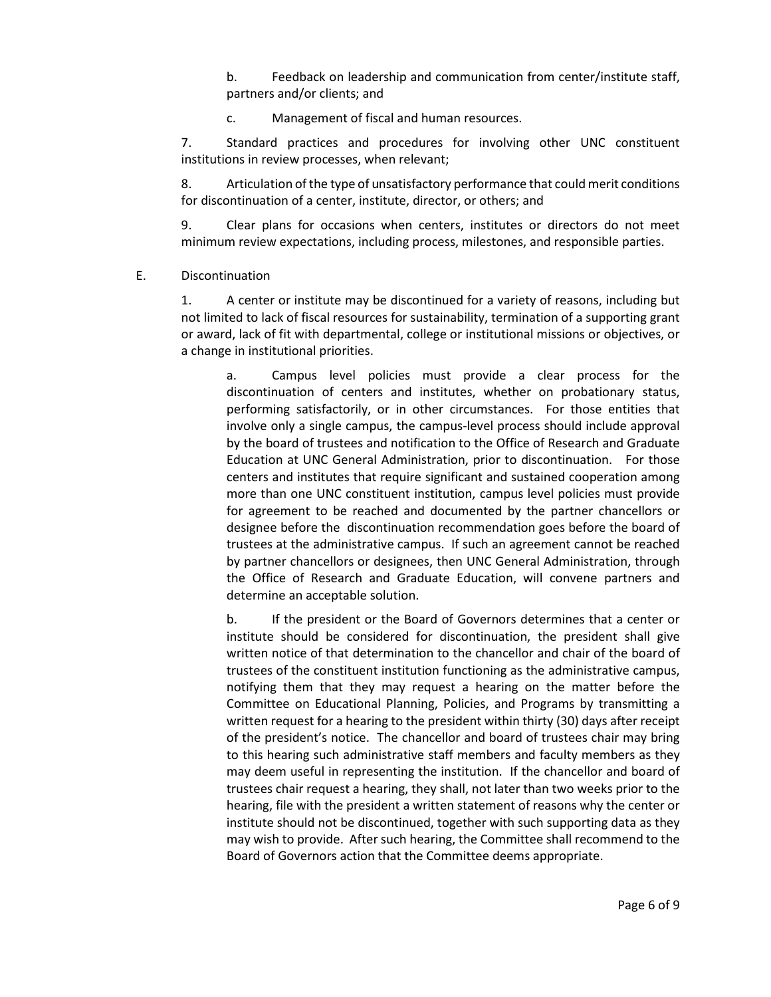b. Feedback on leadership and communication from center/institute staff, partners and/or clients; and

c. Management of fiscal and human resources.

7. Standard practices and procedures for involving other UNC constituent institutions in review processes, when relevant;

8. Articulation of the type of unsatisfactory performance that could merit conditions for discontinuation of a center, institute, director, or others; and

9. Clear plans for occasions when centers, institutes or directors do not meet minimum review expectations, including process, milestones, and responsible parties.

E. Discontinuation

1. A center or institute may be discontinued for a variety of reasons, including but not limited to lack of fiscal resources for sustainability, termination of a supporting grant or award, lack of fit with departmental, college or institutional missions or objectives, or a change in institutional priorities.

a. Campus level policies must provide a clear process for the discontinuation of centers and institutes, whether on probationary status, performing satisfactorily, or in other circumstances. For those entities that involve only a single campus, the campus-level process should include approval by the board of trustees and notification to the Office of Research and Graduate Education at UNC General Administration, prior to discontinuation. For those centers and institutes that require significant and sustained cooperation among more than one UNC constituent institution, campus level policies must provide for agreement to be reached and documented by the partner chancellors or designee before the discontinuation recommendation goes before the board of trustees at the administrative campus. If such an agreement cannot be reached by partner chancellors or designees, then UNC General Administration, through the Office of Research and Graduate Education, will convene partners and determine an acceptable solution.

b. If the president or the Board of Governors determines that a center or institute should be considered for discontinuation, the president shall give written notice of that determination to the chancellor and chair of the board of trustees of the constituent institution functioning as the administrative campus, notifying them that they may request a hearing on the matter before the Committee on Educational Planning, Policies, and Programs by transmitting a written request for a hearing to the president within thirty (30) days after receipt of the president's notice. The chancellor and board of trustees chair may bring to this hearing such administrative staff members and faculty members as they may deem useful in representing the institution. If the chancellor and board of trustees chair request a hearing, they shall, not later than two weeks prior to the hearing, file with the president a written statement of reasons why the center or institute should not be discontinued, together with such supporting data as they may wish to provide. After such hearing, the Committee shall recommend to the Board of Governors action that the Committee deems appropriate.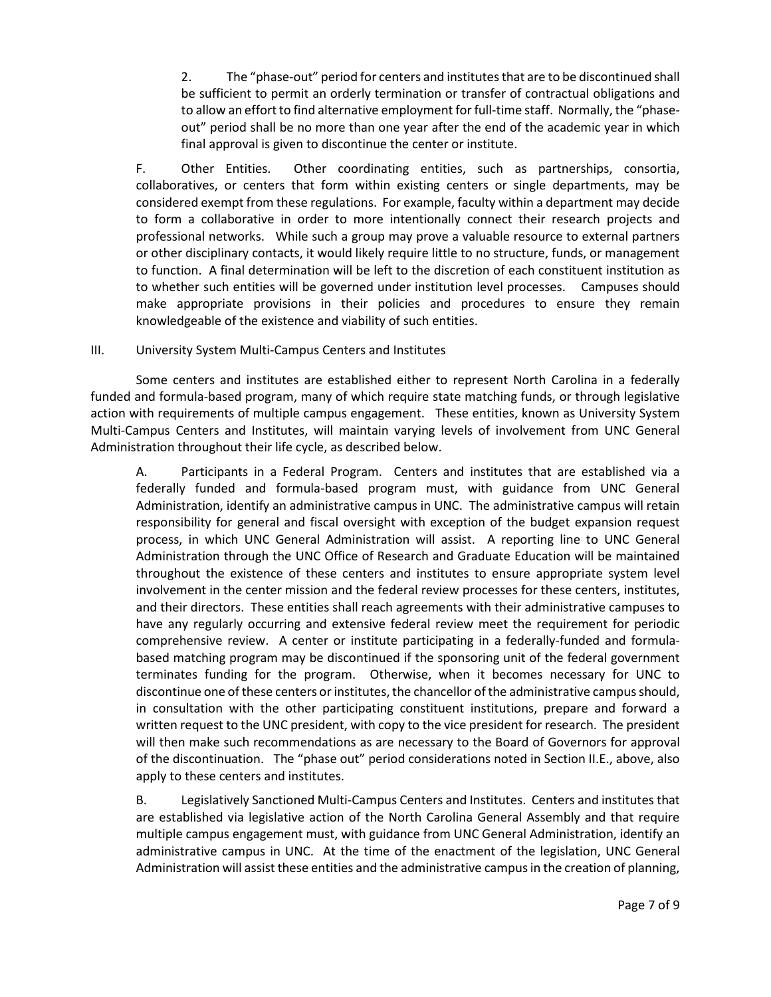2. The "phase-out" period for centers and institutes that are to be discontinued shall be sufficient to permit an orderly termination or transfer of contractual obligations and to allow an effort to find alternative employment for full-time staff. Normally, the "phaseout" period shall be no more than one year after the end of the academic year in which final approval is given to discontinue the center or institute.

F. Other Entities. Other coordinating entities, such as partnerships, consortia, collaboratives, or centers that form within existing centers or single departments, may be considered exempt from these regulations. For example, faculty within a department may decide to form a collaborative in order to more intentionally connect their research projects and professional networks. While such a group may prove a valuable resource to external partners or other disciplinary contacts, it would likely require little to no structure, funds, or management to function. A final determination will be left to the discretion of each constituent institution as to whether such entities will be governed under institution level processes. Campuses should make appropriate provisions in their policies and procedures to ensure they remain knowledgeable of the existence and viability of such entities.

# III. University System Multi-Campus Centers and Institutes

Some centers and institutes are established either to represent North Carolina in a federally funded and formula-based program, many of which require state matching funds, or through legislative action with requirements of multiple campus engagement. These entities, known as University System Multi-Campus Centers and Institutes, will maintain varying levels of involvement from UNC General Administration throughout their life cycle, as described below.

A. Participants in a Federal Program. Centers and institutes that are established via a federally funded and formula-based program must, with guidance from UNC General Administration, identify an administrative campus in UNC. The administrative campus will retain responsibility for general and fiscal oversight with exception of the budget expansion request process, in which UNC General Administration will assist. A reporting line to UNC General Administration through the UNC Office of Research and Graduate Education will be maintained throughout the existence of these centers and institutes to ensure appropriate system level involvement in the center mission and the federal review processes for these centers, institutes, and their directors. These entities shall reach agreements with their administrative campuses to have any regularly occurring and extensive federal review meet the requirement for periodic comprehensive review. A center or institute participating in a federally-funded and formulabased matching program may be discontinued if the sponsoring unit of the federal government terminates funding for the program. Otherwise, when it becomes necessary for UNC to discontinue one of these centers or institutes, the chancellor of the administrative campus should, in consultation with the other participating constituent institutions, prepare and forward a written request to the UNC president, with copy to the vice president for research. The president will then make such recommendations as are necessary to the Board of Governors for approval of the discontinuation. The "phase out" period considerations noted in Section II.E., above, also apply to these centers and institutes.

B. Legislatively Sanctioned Multi-Campus Centers and Institutes. Centers and institutes that are established via legislative action of the North Carolina General Assembly and that require multiple campus engagement must, with guidance from UNC General Administration, identify an administrative campus in UNC. At the time of the enactment of the legislation, UNC General Administration will assist these entities and the administrative campus in the creation of planning,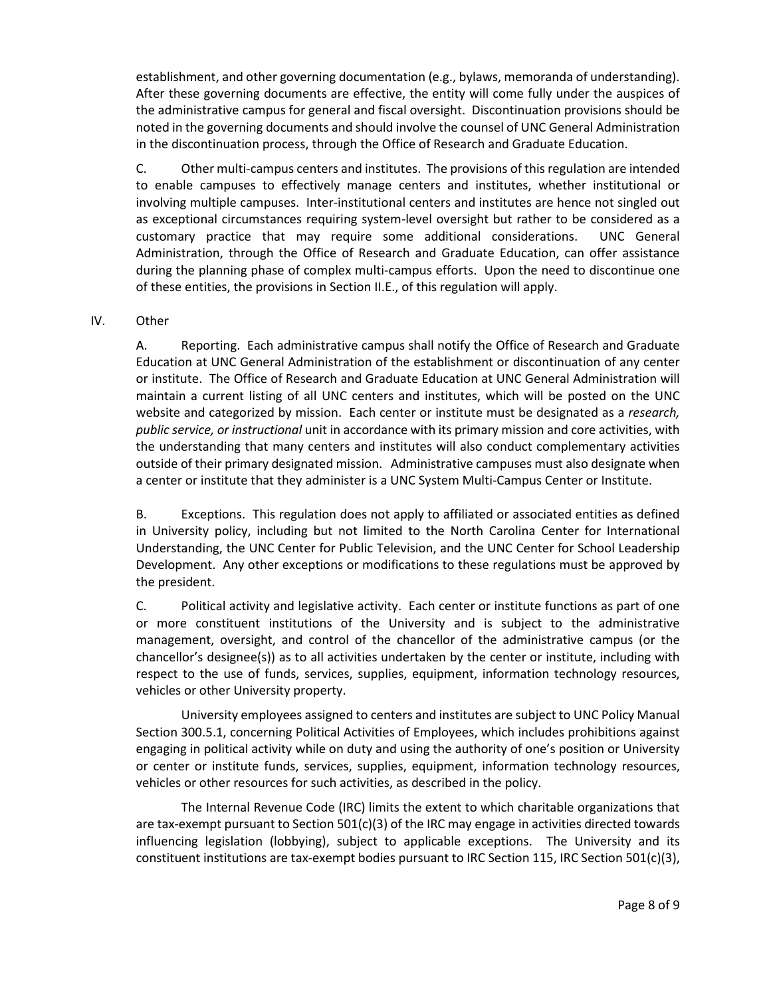establishment, and other governing documentation (e.g., bylaws, memoranda of understanding). After these governing documents are effective, the entity will come fully under the auspices of the administrative campus for general and fiscal oversight. Discontinuation provisions should be noted in the governing documents and should involve the counsel of UNC General Administration in the discontinuation process, through the Office of Research and Graduate Education.

C. Other multi-campus centers and institutes. The provisions of this regulation are intended to enable campuses to effectively manage centers and institutes, whether institutional or involving multiple campuses. Inter-institutional centers and institutes are hence not singled out as exceptional circumstances requiring system-level oversight but rather to be considered as a customary practice that may require some additional considerations. UNC General Administration, through the Office of Research and Graduate Education, can offer assistance during the planning phase of complex multi-campus efforts. Upon the need to discontinue one of these entities, the provisions in Section II.E., of this regulation will apply.

# IV. Other

A. Reporting. Each administrative campus shall notify the Office of Research and Graduate Education at UNC General Administration of the establishment or discontinuation of any center or institute. The Office of Research and Graduate Education at UNC General Administration will maintain a current listing of all UNC centers and institutes, which will be posted on the UNC website and categorized by mission. Each center or institute must be designated as a *research, public service, or instructional* unit in accordance with its primary mission and core activities, with the understanding that many centers and institutes will also conduct complementary activities outside of their primary designated mission. Administrative campuses must also designate when a center or institute that they administer is a UNC System Multi-Campus Center or Institute.

B. Exceptions. This regulation does not apply to affiliated or associated entities as defined in University policy, including but not limited to the North Carolina Center for International Understanding, the UNC Center for Public Television, and the UNC Center for School Leadership Development. Any other exceptions or modifications to these regulations must be approved by the president.

C. Political activity and legislative activity. Each center or institute functions as part of one or more constituent institutions of the University and is subject to the administrative management, oversight, and control of the chancellor of the administrative campus (or the chancellor's designee(s)) as to all activities undertaken by the center or institute, including with respect to the use of funds, services, supplies, equipment, information technology resources, vehicles or other University property.

University employees assigned to centers and institutes are subject to UNC Policy Manual Section 300.5.1, concerning Political Activities of Employees, which includes prohibitions against engaging in political activity while on duty and using the authority of one's position or University or center or institute funds, services, supplies, equipment, information technology resources, vehicles or other resources for such activities, as described in the policy.

The Internal Revenue Code (IRC) limits the extent to which charitable organizations that are tax-exempt pursuant to Section 501(c)(3) of the IRC may engage in activities directed towards influencing legislation (lobbying), subject to applicable exceptions. The University and its constituent institutions are tax-exempt bodies pursuant to IRC Section 115, IRC Section 501(c)(3),